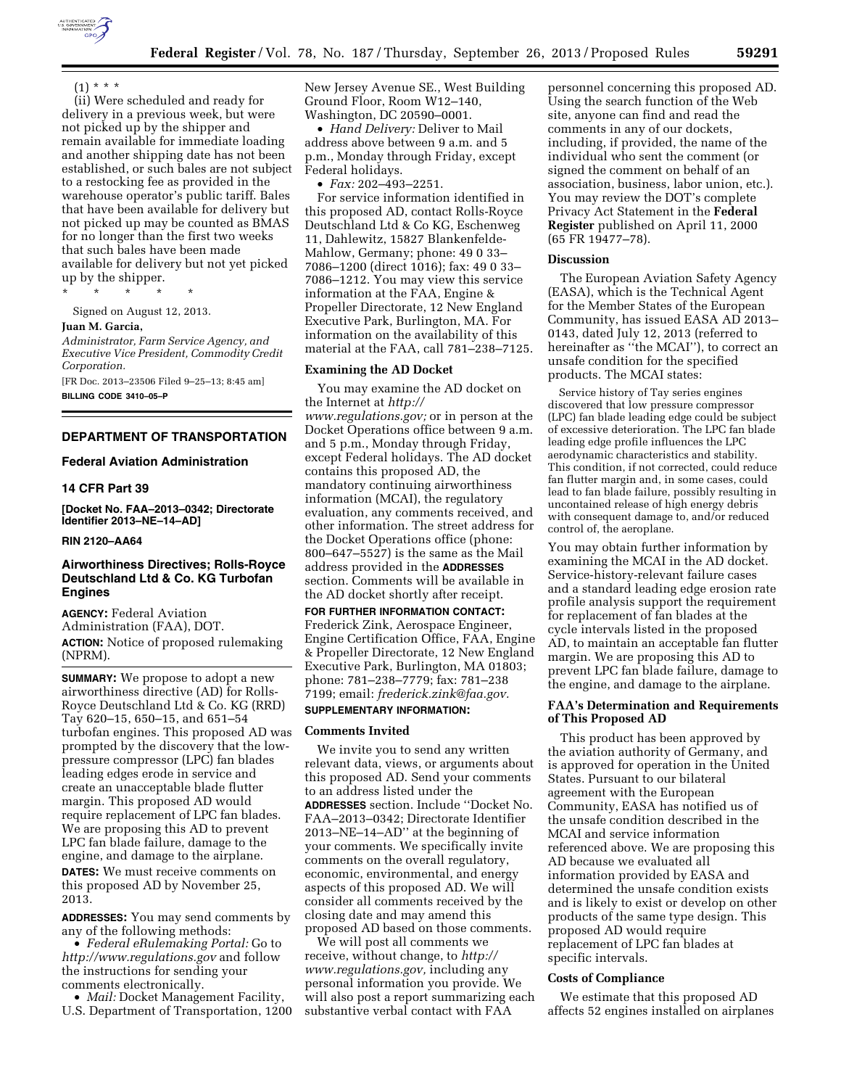

# $(1) * * * *$

(ii) Were scheduled and ready for delivery in a previous week, but were not picked up by the shipper and remain available for immediate loading and another shipping date has not been established, or such bales are not subject to a restocking fee as provided in the warehouse operator's public tariff. Bales that have been available for delivery but not picked up may be counted as BMAS for no longer than the first two weeks that such bales have been made available for delivery but not yet picked up by the shipper.

\* \* \* \* \*

Signed on August 12, 2013.

## **Juan M. Garcia,**

*Administrator, Farm Service Agency, and Executive Vice President, Commodity Credit Corporation.* 

[FR Doc. 2013–23506 Filed 9–25–13; 8:45 am]

# **BILLING CODE 3410–05–P**

# **DEPARTMENT OF TRANSPORTATION**

# **Federal Aviation Administration**

# **14 CFR Part 39**

**[Docket No. FAA–2013–0342; Directorate Identifier 2013–NE–14–AD]** 

## **RIN 2120–AA64**

# **Airworthiness Directives; Rolls-Royce Deutschland Ltd & Co. KG Turbofan Engines**

**AGENCY:** Federal Aviation Administration (FAA), DOT. **ACTION:** Notice of proposed rulemaking (NPRM).

**SUMMARY:** We propose to adopt a new airworthiness directive (AD) for Rolls-Royce Deutschland Ltd & Co. KG (RRD) Tay 620–15, 650–15, and 651–54 turbofan engines. This proposed AD was prompted by the discovery that the lowpressure compressor (LPC) fan blades leading edges erode in service and create an unacceptable blade flutter margin. This proposed AD would require replacement of LPC fan blades. We are proposing this AD to prevent LPC fan blade failure, damage to the engine, and damage to the airplane. **DATES:** We must receive comments on this proposed AD by November 25, 2013.

**ADDRESSES:** You may send comments by any of the following methods:

• *Federal eRulemaking Portal:* Go to *<http://www.regulations.gov>* and follow the instructions for sending your comments electronically.

• *Mail:* Docket Management Facility, U.S. Department of Transportation, 1200 New Jersey Avenue SE., West Building Ground Floor, Room W12–140, Washington, DC 20590–0001.

• *Hand Delivery:* Deliver to Mail address above between 9 a.m. and 5 p.m., Monday through Friday, except Federal holidays.

• *Fax:* 202–493–2251.

For service information identified in this proposed AD, contact Rolls-Royce Deutschland Ltd & Co KG, Eschenweg 11, Dahlewitz, 15827 Blankenfelde-Mahlow, Germany; phone: 49 0 33– 7086–1200 (direct 1016); fax: 49 0 33– 7086–1212. You may view this service information at the FAA, Engine & Propeller Directorate, 12 New England Executive Park, Burlington, MA. For information on the availability of this material at the FAA, call 781–238–7125.

## **Examining the AD Docket**

You may examine the AD docket on the Internet at *[http://](http://www.regulations.gov) [www.regulations.gov;](http://www.regulations.gov)* or in person at the Docket Operations office between 9 a.m. and 5 p.m., Monday through Friday, except Federal holidays. The AD docket contains this proposed AD, the mandatory continuing airworthiness information (MCAI), the regulatory evaluation, any comments received, and other information. The street address for the Docket Operations office (phone: 800–647–5527) is the same as the Mail address provided in the **ADDRESSES** section. Comments will be available in the AD docket shortly after receipt.

#### **FOR FURTHER INFORMATION CONTACT:**

Frederick Zink, Aerospace Engineer, Engine Certification Office, FAA, Engine & Propeller Directorate, 12 New England Executive Park, Burlington, MA 01803; phone: 781–238–7779; fax: 781–238 7199; email: *[frederick.zink@faa.gov.](mailto:frederick.zink@faa.gov)*  **SUPPLEMENTARY INFORMATION:** 

# **Comments Invited**

We invite you to send any written relevant data, views, or arguments about this proposed AD. Send your comments to an address listed under the **ADDRESSES** section. Include ''Docket No. FAA–2013–0342; Directorate Identifier 2013–NE–14–AD'' at the beginning of your comments. We specifically invite comments on the overall regulatory, economic, environmental, and energy aspects of this proposed AD. We will consider all comments received by the closing date and may amend this proposed AD based on those comments.

We will post all comments we receive, without change, to *[http://](http://www.regulations.gov) [www.regulations.gov,](http://www.regulations.gov)* including any personal information you provide. We will also post a report summarizing each substantive verbal contact with FAA

personnel concerning this proposed AD. Using the search function of the Web site, anyone can find and read the comments in any of our dockets, including, if provided, the name of the individual who sent the comment (or signed the comment on behalf of an association, business, labor union, etc.). You may review the DOT's complete Privacy Act Statement in the **Federal Register** published on April 11, 2000 (65 FR 19477–78).

#### **Discussion**

The European Aviation Safety Agency (EASA), which is the Technical Agent for the Member States of the European Community, has issued EASA AD 2013– 0143, dated July 12, 2013 (referred to hereinafter as ''the MCAI''), to correct an unsafe condition for the specified products. The MCAI states:

Service history of Tay series engines discovered that low pressure compressor (LPC) fan blade leading edge could be subject of excessive deterioration. The LPC fan blade leading edge profile influences the LPC aerodynamic characteristics and stability. This condition, if not corrected, could reduce fan flutter margin and, in some cases, could lead to fan blade failure, possibly resulting in uncontained release of high energy debris with consequent damage to, and/or reduced control of, the aeroplane.

You may obtain further information by examining the MCAI in the AD docket. Service-history-relevant failure cases and a standard leading edge erosion rate profile analysis support the requirement for replacement of fan blades at the cycle intervals listed in the proposed AD, to maintain an acceptable fan flutter margin. We are proposing this AD to prevent LPC fan blade failure, damage to the engine, and damage to the airplane.

## **FAA's Determination and Requirements of This Proposed AD**

This product has been approved by the aviation authority of Germany, and is approved for operation in the United States. Pursuant to our bilateral agreement with the European Community, EASA has notified us of the unsafe condition described in the MCAI and service information referenced above. We are proposing this AD because we evaluated all information provided by EASA and determined the unsafe condition exists and is likely to exist or develop on other products of the same type design. This proposed AD would require replacement of LPC fan blades at specific intervals.

#### **Costs of Compliance**

We estimate that this proposed AD affects 52 engines installed on airplanes